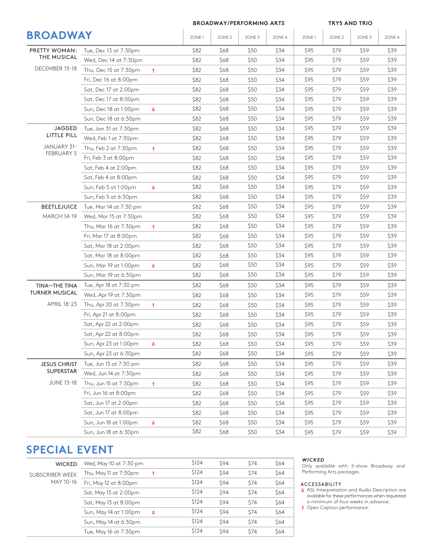|                                  |                        | <b>BROADWAY/PERFORMING ARTS</b> |       |                   |        | <b>TRY5 AND TRIO</b> |       |                   |                   |                                                                      |  |
|----------------------------------|------------------------|---------------------------------|-------|-------------------|--------|----------------------|-------|-------------------|-------------------|----------------------------------------------------------------------|--|
| <b>BROADWAY</b>                  |                        |                                 | ZONE1 | ZONE <sub>2</sub> | ZONE 3 | ZONE 4               | ZONE1 | ZONE <sub>2</sub> | ZONE <sub>3</sub> | ZONE 4                                                               |  |
| PRETTY WOMAN:                    | Tue, Dec 13 at 7:30pm  |                                 | \$82  | \$68              | \$50   | \$34                 | \$95  | \$79              | \$59              | \$39                                                                 |  |
| THE MUSICAL                      | Wed, Dec 14 at 7:30pm  |                                 | \$82  | \$68              | \$50   | \$34                 | \$95  | \$79              | \$59              | \$39                                                                 |  |
| DECEMBER 13-18                   | Thu, Dec 15 at 7:30pm  | $\ddagger$                      | \$82  | \$68              | \$50   | \$34                 | \$95  | \$79              | \$59              | \$39                                                                 |  |
|                                  | Fri, Dec 16 at 8:00pm  |                                 | \$82  | \$68              | \$50   | \$34                 | \$95  | \$79              | \$59              | \$39                                                                 |  |
|                                  | Sat, Dec 17 at 2:00pm  |                                 | \$82  | \$68              | \$50   | \$34                 | \$95  | \$79              | \$59              | \$39                                                                 |  |
|                                  | Sat, Dec 17 at 8:00pm  |                                 | \$82  | \$68              | \$50   | \$34                 | \$95  | \$79              | \$59              | \$39                                                                 |  |
|                                  | Sun, Dec 18 at 1:00pm  | Δ                               | \$82  | \$68              | \$50   | \$34                 | \$95  | \$79              | \$59              | \$39                                                                 |  |
|                                  | Sun, Dec 18 at 6:30pm  |                                 | \$82  | \$68              | \$50   | \$34                 | \$95  | \$79              | \$59              | \$39                                                                 |  |
| <b>JAGGED</b>                    | Tue, Jan 31 at 7:30pm  |                                 | \$82  | \$68              | \$50   | \$34                 | \$95  | \$79              | \$59              | \$39                                                                 |  |
| LITTLE PILL                      | Wed, Feb 1 at 7:30pm   |                                 | \$82  | \$68              | \$50   | \$34                 | \$95  | \$79              | \$59              | \$39                                                                 |  |
| JANUARY 31-                      | Thu, Feb 2 at 7:30pm   | Ť.                              | \$82  | \$68              | \$50   | \$34                 | \$95  | \$79              | \$59              | \$39                                                                 |  |
| <b>FEBRUARY 5</b>                | Fri, Feb 3 at 8:00pm   |                                 | \$82  | \$68              | \$50   | \$34                 | \$95  | \$79              | \$59              | \$39                                                                 |  |
|                                  | Sat, Feb 4 at 2:00pm   |                                 | \$82  | \$68              | \$50   | \$34                 | \$95  | \$79              | \$59              | \$39<br>\$39<br>\$39<br>\$39<br>\$39<br>\$39<br>\$39<br>\$39<br>\$39 |  |
|                                  | Sat, Feb 4 at 8:00pm   |                                 | \$82  | \$68              | \$50   | \$34                 | \$95  | \$79              | \$59              |                                                                      |  |
|                                  | Sun, Feb 5 at 1:00pm   | Δ                               | \$82  | \$68              | \$50   | \$34                 | \$95  | \$79              | \$59              |                                                                      |  |
|                                  | Sun, Feb 5 at 6:30pm   |                                 | \$82  | \$68              | \$50   | \$34                 | \$95  | \$79              | \$59              |                                                                      |  |
| <b>BEETLEJUICE</b>               | Tue, Mar 14 at 7:30 pm |                                 | \$82  | \$68              | \$50   | \$34                 | \$95  | \$79              | \$59              |                                                                      |  |
| <b>MARCH 14-19</b>               | Wed, Mar 15 at 7:30pm  |                                 | \$82  | \$68              | \$50   | \$34                 | \$95  | \$79              | \$59              |                                                                      |  |
|                                  | Thu, Mar 16 at 7:30pm  | $\ddagger$                      | \$82  | \$68              | \$50   | \$34                 | \$95  | \$79              | \$59              |                                                                      |  |
|                                  | Fri, Mar 17 at 8:00pm  |                                 | \$82  | \$68              | \$50   | \$34                 | \$95  | \$79              | \$59              |                                                                      |  |
|                                  | Sat, Mar 18 at 2:00pm  |                                 | \$82  | \$68              | \$50   | \$34                 | \$95  | \$79              | \$59              |                                                                      |  |
|                                  | Sat, Mar 18 at 8:00pm  |                                 | \$82  | \$68              | \$50   | \$34                 | \$95  | \$79              | \$59              | \$39                                                                 |  |
|                                  | Sun, Mar 19 at 1:00pm  | Δ                               | \$82  | \$68              | \$50   | \$34                 | \$95  | \$79              | \$59              | \$39                                                                 |  |
|                                  | Sun, Mar 19 at 6:30pm  |                                 | \$82  | \$68              | \$50   | \$34                 | \$95  | \$79              | \$59              | \$39                                                                 |  |
| TINA-THE TINA                    | Tue, Apr 18 at 7:30 pm |                                 | \$82  | \$68              | \$50   | \$34                 | \$95  | \$79              | \$59              | \$39                                                                 |  |
| <b>TURNER MUSICAL</b>            | Wed, Apr 19 at 7:30pm  |                                 | \$82  | \$68              | \$50   | \$34                 | \$95  | \$79              | \$59              | \$39                                                                 |  |
| <b>APRIL 18-23</b>               | Thu, Apr 20 at 7:30pm  | Ť.                              | \$82  | \$68              | \$50   | \$34                 | \$95  | \$79              | \$59              | \$39                                                                 |  |
|                                  | Fri, Apr 21 at 8:00pm  |                                 | \$82  | \$68              | \$50   | \$34                 | \$95  | \$79              | \$59              | \$39                                                                 |  |
|                                  | Sat, Apr 22 at 2:00pm  |                                 | \$82  | \$68              | \$50   | \$34                 | \$95  | \$79              | \$59              | \$39                                                                 |  |
|                                  | Sat, Apr 22 at 8:00pm  |                                 | \$82  | \$68              | \$50   | \$34                 | \$95  | \$79              | \$59              | \$39                                                                 |  |
|                                  | Sun, Apr 23 at 1:00pm  | Δ                               | \$82  | \$68              | \$50   | \$34                 | \$95  | \$79              | \$59              | \$39                                                                 |  |
|                                  | Sun, Apr 23 at 6:30pm  |                                 | \$82  | \$68              | \$50   | \$34                 | \$95  | \$79              | \$59              | \$39                                                                 |  |
| <b>JESUS CHRIST</b><br>SUPERSTAR | Tue, Jun 13 at 7:30 pm |                                 | \$82  | \$68              | \$50   | \$34                 | \$95  | \$79              | \$59              | \$39                                                                 |  |
|                                  | Wed, Jun 14 at 7:30pm  |                                 | \$82  | \$68              | \$50   | \$34                 | \$95  | \$79              | \$59              | \$39                                                                 |  |
| <b>JUNE 13-18</b>                | Thu, Jun 15 at 7:30pm  | Ť.                              | \$82  | \$68              | \$50   | \$34                 | \$95  | \$79              | \$59              | \$39                                                                 |  |
|                                  | Fri, Jun 16 at 8:00pm  |                                 | \$82  | \$68              | \$50   | \$34                 | \$95  | \$79              | \$59              | \$39                                                                 |  |
|                                  | Sat, Jun 17 at 2:00pm  |                                 | \$82  | \$68              | \$50   | \$34                 | \$95  | \$79              | \$59              | \$39                                                                 |  |
|                                  | Sat, Jun 17 at 8:00pm  |                                 | \$82  | \$68              | \$50   | \$34                 | \$95  | \$79              | \$59              | \$39                                                                 |  |
|                                  | Sun, Jun 18 at 1:00pm  | Δ                               | \$82  | \$68              | \$50   | \$34                 | \$95  | \$79              | \$59              | \$39                                                                 |  |
|                                  | Sun, Jun 18 at 6:30pm  |                                 | \$82  | \$68              | \$50   | \$34                 | \$95  | \$79              | \$59              | \$39                                                                 |  |

# **SPECIAL EVENT**

| <b>WICKED</b>          | Wed, May 10 at 7:30 pm |   | \$124 | \$94 | \$74 | \$64 |
|------------------------|------------------------|---|-------|------|------|------|
| <b>SUBSCRIBER WEEK</b> | Thu, May 11 at 7:30pm  |   | \$124 | \$94 | \$74 | \$64 |
| MAY 10-16              | Fri, May 12 at 8:00pm  |   | \$124 | \$94 | \$74 | \$64 |
|                        | Sat, May 13 at 2:00pm  |   | \$124 | \$94 | \$74 | \$64 |
|                        | Sat, May 13 at 8:00pm  |   | \$124 | \$94 | \$74 | \$64 |
|                        | Sun, May 14 at 1:00pm  | Δ | \$124 | \$94 | \$74 | \$64 |
|                        | Sun, May 14 at 6:30pm  |   | \$124 | \$94 | \$74 | \$64 |
|                        | Tue, May 16 at 7:30pm  |   | \$124 | \$94 | \$74 | \$64 |
|                        |                        |   |       |      |      |      |

## *WICKED*

Only available with 5-show Broadway and Performing Arts packages.

### ACCESSABILITY

**∆** ASL Interpretation and Audio Description are available for these performances when requested a minimum of four weeks in advance.

**†** Open Caption performance.